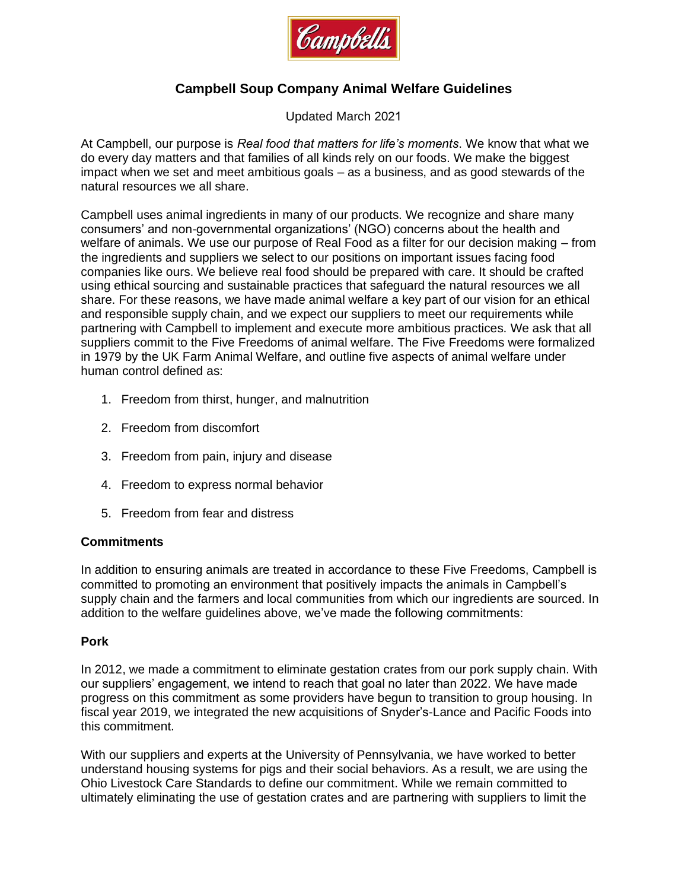

# **Campbell Soup Company Animal Welfare Guidelines**

Updated March 2021

At Campbell, our purpose is *Real food that matters for life's moments*. We know that what we do every day matters and that families of all kinds rely on our foods. We make the biggest impact when we set and meet ambitious goals – as a business, and as good stewards of the natural resources we all share.

Campbell uses animal ingredients in many of our products. We recognize and share many consumers' and non-governmental organizations' (NGO) concerns about the health and welfare of animals. We use our purpose of Real Food as a filter for our decision making – from the ingredients and suppliers we select to our positions on important issues facing food companies like ours. We believe real food should be prepared with care. It should be crafted using ethical sourcing and sustainable practices that safeguard the natural resources we all share. For these reasons, we have made animal welfare a key part of our vision for an ethical and responsible supply chain, and we expect our suppliers to meet our requirements while partnering with Campbell to implement and execute more ambitious practices. We ask that all suppliers commit to the Five Freedoms of animal welfare. The Five Freedoms were formalized in 1979 by the UK Farm Animal Welfare, and outline five aspects of animal welfare under human control defined as:

- 1. Freedom from thirst, hunger, and malnutrition
- 2. Freedom from discomfort
- 3. Freedom from pain, injury and disease
- 4. Freedom to express normal behavior
- 5. Freedom from fear and distress

### **Commitments**

In addition to ensuring animals are treated in accordance to these Five Freedoms, Campbell is committed to promoting an environment that positively impacts the animals in Campbell's supply chain and the farmers and local communities from which our ingredients are sourced. In addition to the welfare guidelines above, we've made the following commitments:

#### **Pork**

In 2012, we made a commitment to eliminate gestation crates from our pork supply chain. With our suppliers' engagement, we intend to reach that goal no later than 2022. We have made progress on this commitment as some providers have begun to transition to group housing. In fiscal year 2019, we integrated the new acquisitions of Snyder's-Lance and Pacific Foods into this commitment.

With our suppliers and experts at the University of Pennsylvania, we have worked to better understand housing systems for pigs and their social behaviors. As a result, we are using the Ohio Livestock Care Standards to define our commitment. While we remain committed to ultimately eliminating the use of gestation crates and are partnering with suppliers to limit the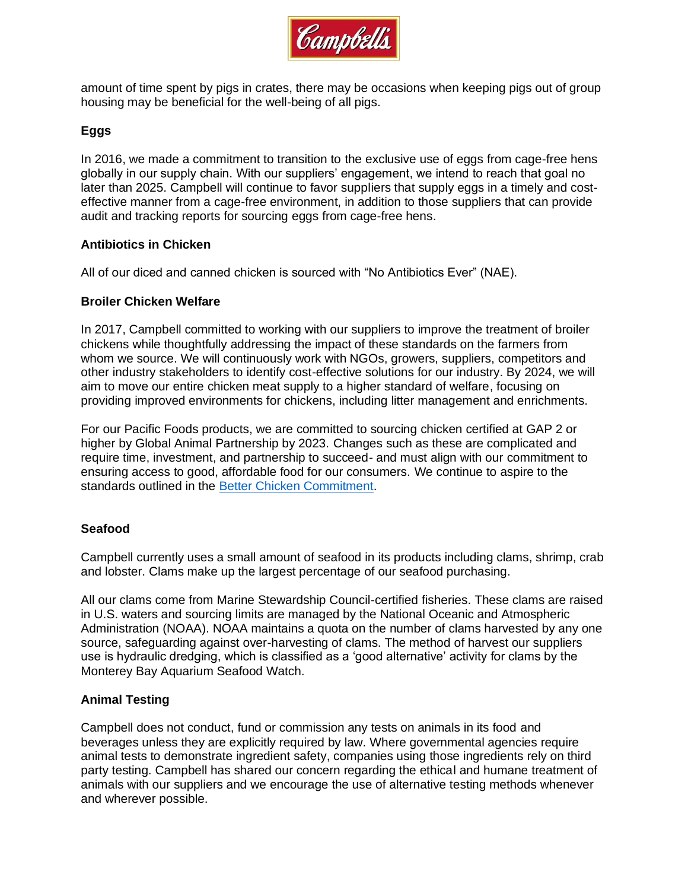

amount of time spent by pigs in crates, there may be occasions when keeping pigs out of group housing may be beneficial for the well-being of all pigs.

## **Eggs**

In 2016, we made a commitment to transition to the exclusive use of eggs from cage-free hens globally in our supply chain. With our suppliers' engagement, we intend to reach that goal no later than 2025. Campbell will continue to favor suppliers that supply eggs in a timely and costeffective manner from a cage-free environment, in addition to those suppliers that can provide audit and tracking reports for sourcing eggs from cage-free hens.

### **Antibiotics in Chicken**

All of our diced and canned chicken is sourced with "No Antibiotics Ever" (NAE).

### **Broiler Chicken Welfare**

In 2017, Campbell committed to working with our suppliers to improve the treatment of broiler chickens while thoughtfully addressing the impact of these standards on the farmers from whom we source. We will continuously work with NGOs, growers, suppliers, competitors and other industry stakeholders to identify cost-effective solutions for our industry. By 2024, we will aim to move our entire chicken meat supply to a higher standard of welfare, focusing on providing improved environments for chickens, including litter management and enrichments.

For our Pacific Foods products, we are committed to sourcing chicken certified at GAP 2 or higher by Global Animal Partnership by 2023. Changes such as these are complicated and require time, investment, and partnership to succeed- and must align with our commitment to ensuring access to good, affordable food for our consumers. We continue to aspire to the standards outlined in the [Better Chicken Commitment.](https://betterchickencommitment.com/)

### **Seafood**

Campbell currently uses a small amount of seafood in its products including clams, shrimp, crab and lobster. Clams make up the largest percentage of our seafood purchasing.

All our clams come from Marine Stewardship Council-certified fisheries. These clams are raised in U.S. waters and sourcing limits are managed by the National Oceanic and Atmospheric Administration (NOAA). NOAA maintains a quota on the number of clams harvested by any one source, safeguarding against over-harvesting of clams. The method of harvest our suppliers use is hydraulic dredging, which is classified as a 'good alternative' activity for clams by the Monterey Bay Aquarium Seafood Watch.

### **Animal Testing**

Campbell does not conduct, fund or commission any tests on animals in its food and beverages unless they are explicitly required by law. Where governmental agencies require animal tests to demonstrate ingredient safety, companies using those ingredients rely on third party testing. Campbell has shared our concern regarding the ethical and humane treatment of animals with our suppliers and we encourage the use of alternative testing methods whenever and wherever possible.